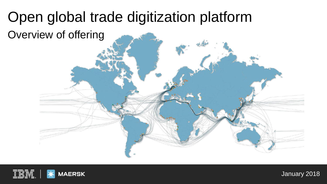# Open global trade digitization platform

Overview of offering



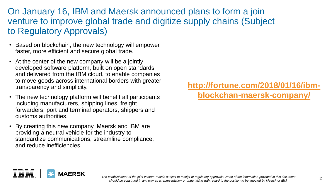### On January 16, IBM and Maersk announced plans to form a join venture to improve global trade and digitize supply chains (Subject to Regulatory Approvals)

- Based on blockchain, the new technology will empower faster, more efficient and secure global trade.
- At the center of the new company will be a jointly developed software platform, built on open standards and delivered from the IBM cloud, to enable companies to move goods across international borders with greater transparency and simplicity.
- The new technology platform will benefit all participants including manufacturers, shipping lines, freight forwarders, port and terminal operators, shippers and customs authorities.
- By creating this new company, Maersk and IBM are providing a neutral vehicle for the industry to standardize communications, streamline compliance, and reduce inefficiencies.

**[http://fortune.com/2018/01/16/ibm](http://fortune.com/2018/01/16/ibm-blockchan-maersk-company/)blockchan-maersk-company/**



The establishment of the joint venture remain subject to receipt of regulatory approvals. None of the information provided in this document stablishment of the joint venture remain subject to receipt or regulatory approvais. None or the information provided in this document<br>should be construed in any way as a representation or undertaking with regard to the po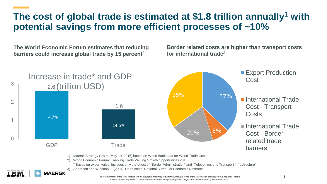### **The cost of global trade is estimated at \$1.8 trillion annually<sup>1</sup> with potential savings from more efficient processes of ~10%**

**The World Economic Forum estimates that reducing barriers could increase global trade by 15 percent<sup>2</sup>**

**AFRSK** 

**Border related costs are higher than transport costs for international trade3**



2) World Economic Forum: Enabling Trade Valuing Growth Opportunities 2013.

- \* Based on export value; includes only the effect of "Border Administration" and "Telecomms and Transport Infrastructure"
- 3) Anderson and Wincoop E. (2004) Trade costs. National Bureau of Economic Research

*The establishment of the joint venture remain subject to receipt of regulatory approvals. None of the information provided in this document should be construed in any way as a representation or undertaking with regard to the position to be adopted by Maersk and IBM.*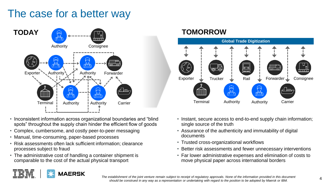### The case for a better way



- Inconsistent information across organizational boundaries and "blind spots" throughout the supply chain hinder the efficient flow of goods
- Complex, cumbersome, and costly peer-to-peer messaging
- Manual, time-consuming, paper-based processes
- Risk assessments often lack sufficient information; clearance processes subject to fraud
- The administrative cost of handling a container shipment is comparable to the cost of the actual physical transport

**AERSK** 



- Instant, secure access to end-to-end supply chain information; single source of the truth
- Assurance of the authenticity and immutability of digital documents
- Trusted cross-organizational workflows
- Better risk assessments and fewer unnecessary interventions
- Far lower administrative expenses and elimination of costs to move physical paper across international borders

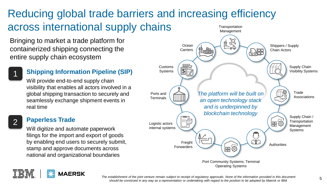### Reducing global trade barriers and increasing efficiency across international supply chains **Transportation** Management

Bringing to market a trade platform for containerized shipping connecting the entire supply chain ecosystem



### **Shipping Information Pipeline (SIP)**

Will provide end-to-end supply chain visibility that enables all actors involved in a global shipping transaction to securely and seamlessly exchange shipment events in real time

### **Paperless Trade** Logistic actors

Will digitize and automate paperwork filings for the import and export of goods by enabling end users to securely submit, stamp and approve documents across national and organizational boundaries





*The establishment of the joint venture remain subject to receipt of regulatory approvals. None of the information provided in this document*  establishment or the joint venture remain subject to recelpt or regulatory approvais. None or the information provided in this document<br>Should be construed in any way as a representation or undertaking with regard to the p